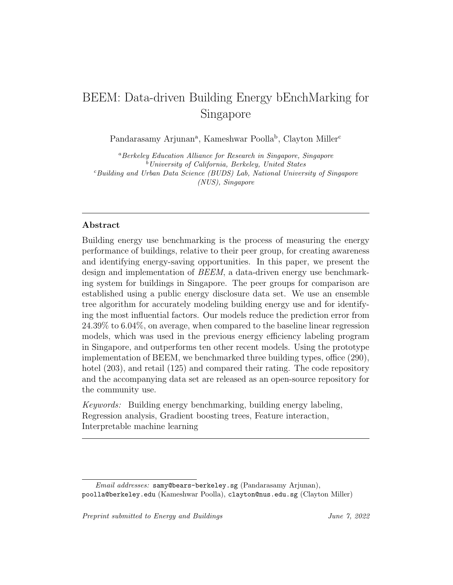# BEEM: Data-driven Building Energy bEnchMarking for Singapore

Pandarasamy Arjunan<sup>a</sup>, Kameshwar Poolla<sup>b</sup>, Clayton Miller<sup>c</sup>

<sup>a</sup>Berkeley Education Alliance for Research in Singapore, Singapore  $^{b}$ University of California, Berkeley, United States  $c$ Building and Urban Data Science (BUDS) Lab, National University of Singapore (NUS), Singapore

# Abstract

Building energy use benchmarking is the process of measuring the energy performance of buildings, relative to their peer group, for creating awareness and identifying energy-saving opportunities. In this paper, we present the design and implementation of BEEM, a data-driven energy use benchmarking system for buildings in Singapore. The peer groups for comparison are established using a public energy disclosure data set. We use an ensemble tree algorithm for accurately modeling building energy use and for identifying the most influential factors. Our models reduce the prediction error from 24.39% to 6.04%, on average, when compared to the baseline linear regression models, which was used in the previous energy efficiency labeling program in Singapore, and outperforms ten other recent models. Using the prototype implementation of BEEM, we benchmarked three building types, office (290), hotel (203), and retail (125) and compared their rating. The code repository and the accompanying data set are released as an open-source repository for the community use.

Keywords: Building energy benchmarking, building energy labeling, Regression analysis, Gradient boosting trees, Feature interaction, Interpretable machine learning

Email addresses: samy@bears-berkeley.sg (Pandarasamy Arjunan), poolla@berkeley.edu (Kameshwar Poolla), clayton@nus.edu.sg (Clayton Miller)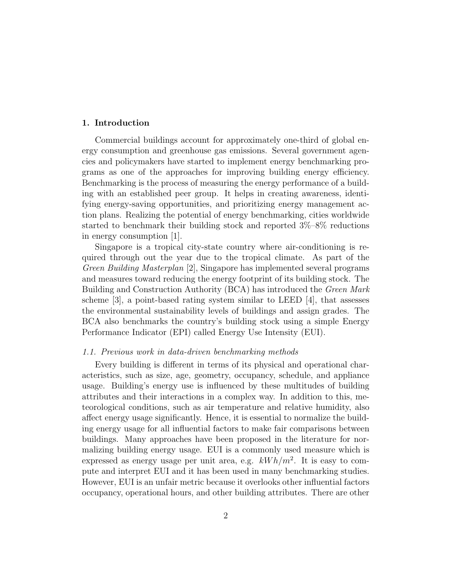# 1. Introduction

Commercial buildings account for approximately one-third of global energy consumption and greenhouse gas emissions. Several government agencies and policymakers have started to implement energy benchmarking programs as one of the approaches for improving building energy efficiency. Benchmarking is the process of measuring the energy performance of a building with an established peer group. It helps in creating awareness, identifying energy-saving opportunities, and prioritizing energy management action plans. Realizing the potential of energy benchmarking, cities worldwide started to benchmark their building stock and reported 3%–8% reductions in energy consumption [1].

Singapore is a tropical city-state country where air-conditioning is required through out the year due to the tropical climate. As part of the Green Building Masterplan [2], Singapore has implemented several programs and measures toward reducing the energy footprint of its building stock. The Building and Construction Authority (BCA) has introduced the Green Mark scheme  $[3]$ , a point-based rating system similar to LEED  $[4]$ , that assesses the environmental sustainability levels of buildings and assign grades. The BCA also benchmarks the country's building stock using a simple Energy Performance Indicator (EPI) called Energy Use Intensity (EUI).

## 1.1. Previous work in data-driven benchmarking methods

Every building is different in terms of its physical and operational characteristics, such as size, age, geometry, occupancy, schedule, and appliance usage. Building's energy use is influenced by these multitudes of building attributes and their interactions in a complex way. In addition to this, meteorological conditions, such as air temperature and relative humidity, also affect energy usage significantly. Hence, it is essential to normalize the building energy usage for all influential factors to make fair comparisons between buildings. Many approaches have been proposed in the literature for normalizing building energy usage. EUI is a commonly used measure which is expressed as energy usage per unit area, e.g.  $kWh/m^2$ . It is easy to compute and interpret EUI and it has been used in many benchmarking studies. However, EUI is an unfair metric because it overlooks other influential factors occupancy, operational hours, and other building attributes. There are other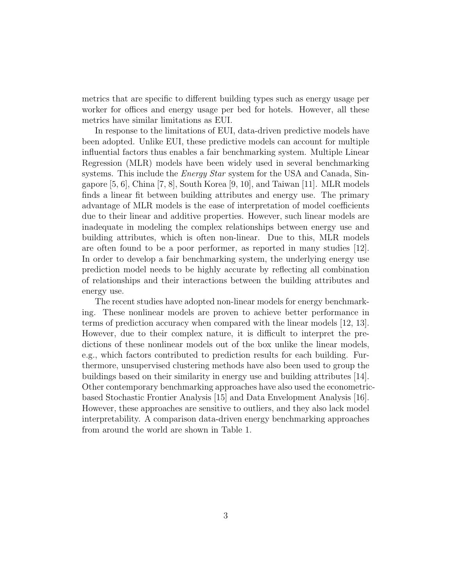metrics that are specific to different building types such as energy usage per worker for offices and energy usage per bed for hotels. However, all these metrics have similar limitations as EUI.

In response to the limitations of EUI, data-driven predictive models have been adopted. Unlike EUI, these predictive models can account for multiple influential factors thus enables a fair benchmarking system. Multiple Linear Regression (MLR) models have been widely used in several benchmarking systems. This include the *Energy Star* system for the USA and Canada, Singapore  $[5, 6]$ , China  $[7, 8]$ , South Korea  $[9, 10]$ , and Taiwan  $[11]$ . MLR models finds a linear fit between building attributes and energy use. The primary advantage of MLR models is the ease of interpretation of model coefficients due to their linear and additive properties. However, such linear models are inadequate in modeling the complex relationships between energy use and building attributes, which is often non-linear. Due to this, MLR models are often found to be a poor performer, as reported in many studies [12]. In order to develop a fair benchmarking system, the underlying energy use prediction model needs to be highly accurate by reflecting all combination of relationships and their interactions between the building attributes and energy use.

The recent studies have adopted non-linear models for energy benchmarking. These nonlinear models are proven to achieve better performance in terms of prediction accuracy when compared with the linear models [12, 13]. However, due to their complex nature, it is difficult to interpret the predictions of these nonlinear models out of the box unlike the linear models, e.g., which factors contributed to prediction results for each building. Furthermore, unsupervised clustering methods have also been used to group the buildings based on their similarity in energy use and building attributes [14]. Other contemporary benchmarking approaches have also used the econometricbased Stochastic Frontier Analysis [15] and Data Envelopment Analysis [16]. However, these approaches are sensitive to outliers, and they also lack model interpretability. A comparison data-driven energy benchmarking approaches from around the world are shown in Table 1.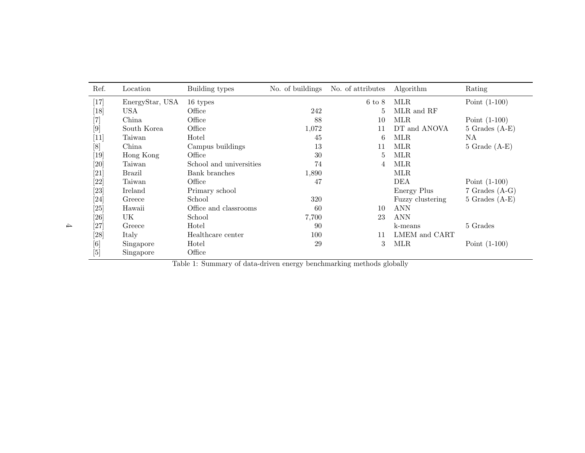| Ref.                                                                                                                                                                                                     | Location        | Building types          | No. of buildings | No. of attributes | Algorithm        | Rating             |
|----------------------------------------------------------------------------------------------------------------------------------------------------------------------------------------------------------|-----------------|-------------------------|------------------|-------------------|------------------|--------------------|
| $[17]$                                                                                                                                                                                                   | EnergyStar, USA | 16 types                |                  | $6 \text{ to } 8$ | <b>MLR</b>       | Point $(1-100)$    |
| $[18]$                                                                                                                                                                                                   | <b>USA</b>      | Office                  | 242              | 5                 | MLR and RF       |                    |
| $\left[ 7\right]$                                                                                                                                                                                        | China           | Office                  | 88               | 10                | <b>MLR</b>       | Point $(1-100)$    |
| $[9]$                                                                                                                                                                                                    | South Korea     | Office                  | 1,072            | 11                | DT and ANOVA     | $5$ Grades $(A-E)$ |
| $[11]$                                                                                                                                                                                                   | Taiwan          | Hotel                   | 45               | 6                 | <b>MLR</b>       | NA.                |
| [8]                                                                                                                                                                                                      | China           | Campus buildings        | 13               | 11                | <b>MLR</b>       | $5$ Grade $(A-E)$  |
| [19]                                                                                                                                                                                                     | Hong Kong       | Office                  | 30               | 5                 | <b>MLR</b>       |                    |
| [20]                                                                                                                                                                                                     | Taiwan          | School and universities | 74               | 4                 | <b>MLR</b>       |                    |
| $[21]$                                                                                                                                                                                                   | <b>Brazil</b>   | Bank branches           | 1,890            |                   | <b>MLR</b>       |                    |
| [22]                                                                                                                                                                                                     | Taiwan          | Office                  | 47               |                   | DEA              | Point $(1-100)$    |
| [23]                                                                                                                                                                                                     | Ireland         | Primary school          |                  |                   | Energy Plus      | $7$ Grades $(A-G)$ |
| [24]                                                                                                                                                                                                     | Greece          | School                  | 320              |                   | Fuzzy clustering | $5$ Grades $(A-E)$ |
| [25]                                                                                                                                                                                                     | Hawaii          | Office and classrooms   | 60               | 10                | <b>ANN</b>       |                    |
| [26]                                                                                                                                                                                                     | UK              | School                  | 7,700            | 23                | <b>ANN</b>       |                    |
| [27]                                                                                                                                                                                                     | Greece          | Hotel                   | 90               |                   | k-means          | 5 Grades           |
| [28]                                                                                                                                                                                                     | Italy           | Healthcare center       | 100              | 11                | LMEM and CART    |                    |
| $[6] % \includegraphics[width=0.9\columnwidth]{figures/fig_0a.pdf} \caption{A small number of samples in the left and right. The left and right is the number of samples in the right.} \label{fig:1} %$ | Singapore       | Hotel                   | 29               | 3                 | <b>MLR</b>       | Point $(1-100)$    |
| $[5]$                                                                                                                                                                                                    | Singapore       | Office                  |                  |                   |                  |                    |

Table 1: Summary of data-driven energy benchmarking methods globally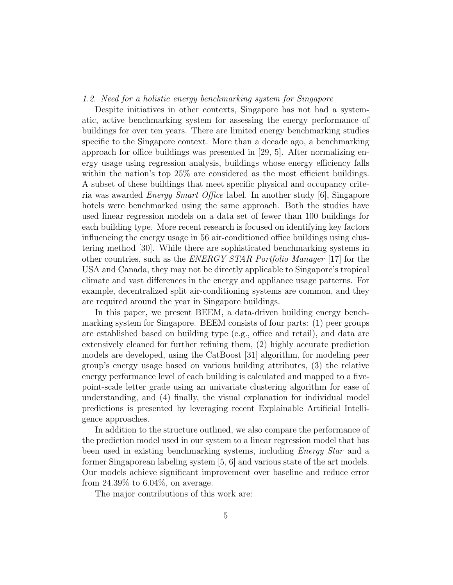# 1.2. Need for a holistic energy benchmarking system for Singapore

Despite initiatives in other contexts, Singapore has not had a systematic, active benchmarking system for assessing the energy performance of buildings for over ten years. There are limited energy benchmarking studies specific to the Singapore context. More than a decade ago, a benchmarking approach for office buildings was presented in [29, 5]. After normalizing energy usage using regression analysis, buildings whose energy efficiency falls within the nation's top 25% are considered as the most efficient buildings. A subset of these buildings that meet specific physical and occupancy criteria was awarded Energy Smart Office label. In another study [6], Singapore hotels were benchmarked using the same approach. Both the studies have used linear regression models on a data set of fewer than 100 buildings for each building type. More recent research is focused on identifying key factors influencing the energy usage in 56 air-conditioned office buildings using clustering method [30]. While there are sophisticated benchmarking systems in other countries, such as the ENERGY STAR Portfolio Manager [17] for the USA and Canada, they may not be directly applicable to Singapore's tropical climate and vast differences in the energy and appliance usage patterns. For example, decentralized split air-conditioning systems are common, and they are required around the year in Singapore buildings.

In this paper, we present BEEM, a data-driven building energy benchmarking system for Singapore. BEEM consists of four parts: (1) peer groups are established based on building type (e.g., office and retail), and data are extensively cleaned for further refining them, (2) highly accurate prediction models are developed, using the CatBoost [31] algorithm, for modeling peer group's energy usage based on various building attributes, (3) the relative energy performance level of each building is calculated and mapped to a fivepoint-scale letter grade using an univariate clustering algorithm for ease of understanding, and (4) finally, the visual explanation for individual model predictions is presented by leveraging recent Explainable Artificial Intelligence approaches.

In addition to the structure outlined, we also compare the performance of the prediction model used in our system to a linear regression model that has been used in existing benchmarking systems, including Energy Star and a former Singaporean labeling system [5, 6] and various state of the art models. Our models achieve significant improvement over baseline and reduce error from 24.39% to 6.04%, on average.

The major contributions of this work are: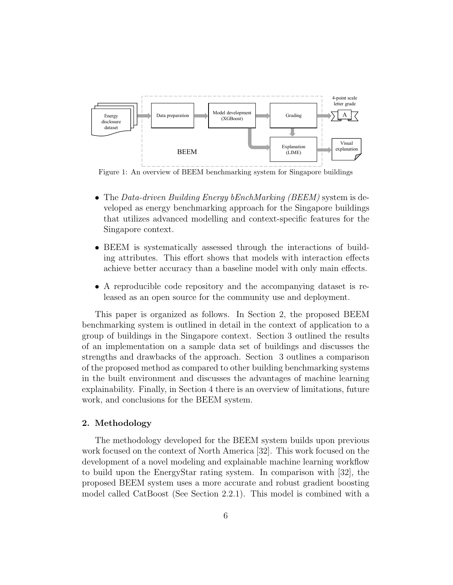

Figure 1: An overview of BEEM benchmarking system for Singapore buildings

- The Data-driven Building Energy bEnchMarking (BEEM) system is developed as energy benchmarking approach for the Singapore buildings that utilizes advanced modelling and context-specific features for the Singapore context.
- BEEM is systematically assessed through the interactions of building attributes. This effort shows that models with interaction effects achieve better accuracy than a baseline model with only main effects.
- A reproducible code repository and the accompanying dataset is released as an open source for the community use and deployment.

This paper is organized as follows. In Section 2, the proposed BEEM benchmarking system is outlined in detail in the context of application to a group of buildings in the Singapore context. Section 3 outlined the results of an implementation on a sample data set of buildings and discusses the strengths and drawbacks of the approach. Section 3 outlines a comparison of the proposed method as compared to other building benchmarking systems in the built environment and discusses the advantages of machine learning explainability. Finally, in Section 4 there is an overview of limitations, future work, and conclusions for the BEEM system.

# 2. Methodology

The methodology developed for the BEEM system builds upon previous work focused on the context of North America [32]. This work focused on the development of a novel modeling and explainable machine learning workflow to build upon the EnergyStar rating system. In comparison with [32], the proposed BEEM system uses a more accurate and robust gradient boosting model called CatBoost (See Section 2.2.1). This model is combined with a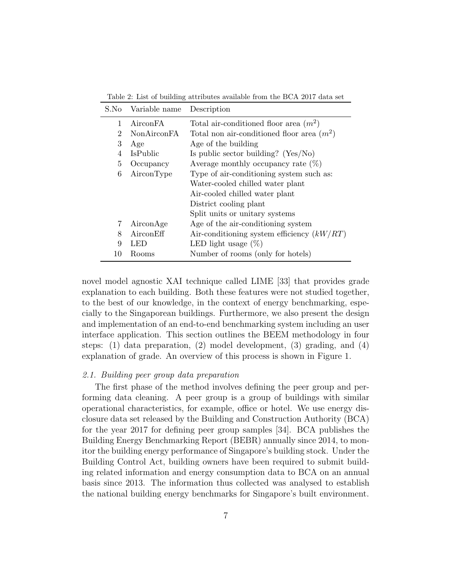| S.No | Variable name                                          | Description                                  |  |  |
|------|--------------------------------------------------------|----------------------------------------------|--|--|
| 1    | AirconFA                                               | Total air-conditioned floor area $(m^2)$     |  |  |
| 2    | <b>NonAirconFA</b>                                     | Total non air-conditioned floor area $(m^2)$ |  |  |
| 3    | Age                                                    | Age of the building                          |  |  |
| 4    | <b>IsPublic</b>                                        | Is public sector building? ( $Yes/No$ )      |  |  |
| 5    | Occupancy                                              | Average monthly occupancy rate $(\%)$        |  |  |
| 6    | Type of air-conditioning system such as:<br>AirconType |                                              |  |  |
|      |                                                        | Water-cooled chilled water plant             |  |  |
|      | Air-cooled chilled water plant                         |                                              |  |  |
|      | District cooling plant                                 |                                              |  |  |
|      |                                                        | Split units or unitary systems               |  |  |
| 7    | AirconAge                                              | Age of the air-conditioning system           |  |  |
| 8    | AirconEff                                              | Air-conditioning system efficiency $(kW/RT)$ |  |  |
| 9    | LED                                                    | LED light usage $(\%)$                       |  |  |
| 10   | Rooms                                                  | Number of rooms (only for hotels)            |  |  |

Table 2: List of building attributes available from the BCA 2017 data set

novel model agnostic XAI technique called LIME [33] that provides grade explanation to each building. Both these features were not studied together, to the best of our knowledge, in the context of energy benchmarking, especially to the Singaporean buildings. Furthermore, we also present the design and implementation of an end-to-end benchmarking system including an user interface application. This section outlines the BEEM methodology in four steps: (1) data preparation, (2) model development, (3) grading, and (4) explanation of grade. An overview of this process is shown in Figure 1.

# 2.1. Building peer group data preparation

The first phase of the method involves defining the peer group and performing data cleaning. A peer group is a group of buildings with similar operational characteristics, for example, office or hotel. We use energy disclosure data set released by the Building and Construction Authority (BCA) for the year 2017 for defining peer group samples [34]. BCA publishes the Building Energy Benchmarking Report (BEBR) annually since 2014, to monitor the building energy performance of Singapore's building stock. Under the Building Control Act, building owners have been required to submit building related information and energy consumption data to BCA on an annual basis since 2013. The information thus collected was analysed to establish the national building energy benchmarks for Singapore's built environment.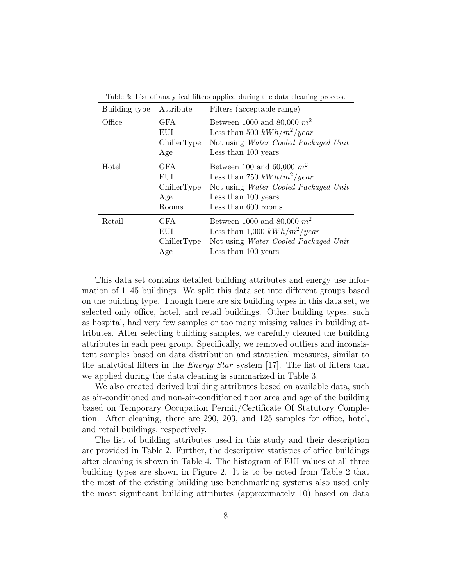| Building type | Attribute                                        | Filters (acceptable range)                                                                                                                         |  |  |
|---------------|--------------------------------------------------|----------------------------------------------------------------------------------------------------------------------------------------------------|--|--|
| Office        | <b>GFA</b><br>EUI<br>ChillerType<br>Age          | Between 1000 and 80,000 $m^2$<br>Less than 500 $kWh/m^2/year$<br>Not using Water Cooled Packaged Unit<br>Less than 100 years                       |  |  |
| Hotel         | <b>GFA</b><br>EUI<br>ChillerType<br>Age<br>Rooms | Between 100 and 60,000 $m^2$<br>Less than 750 $kWh/m^2/year$<br>Not using Water Cooled Packaged Unit<br>Less than 100 years<br>Less than 600 rooms |  |  |
| Retail        | <b>GFA</b><br>EUI<br>ChillerType<br>Age          | Between 1000 and 80,000 $m^2$<br>Less than 1,000 $kWh/m^2/year$<br>Not using Water Cooled Packaged Unit<br>Less than 100 years                     |  |  |

Table 3: List of analytical filters applied during the data cleaning process.

This data set contains detailed building attributes and energy use information of 1145 buildings. We split this data set into different groups based on the building type. Though there are six building types in this data set, we selected only office, hotel, and retail buildings. Other building types, such as hospital, had very few samples or too many missing values in building attributes. After selecting building samples, we carefully cleaned the building attributes in each peer group. Specifically, we removed outliers and inconsistent samples based on data distribution and statistical measures, similar to the analytical filters in the Energy Star system [17]. The list of filters that we applied during the data cleaning is summarized in Table 3.

We also created derived building attributes based on available data, such as air-conditioned and non-air-conditioned floor area and age of the building based on Temporary Occupation Permit/Certificate Of Statutory Completion. After cleaning, there are 290, 203, and 125 samples for office, hotel, and retail buildings, respectively.

The list of building attributes used in this study and their description are provided in Table 2. Further, the descriptive statistics of office buildings after cleaning is shown in Table 4. The histogram of EUI values of all three building types are shown in Figure 2. It is to be noted from Table 2 that the most of the existing building use benchmarking systems also used only the most significant building attributes (approximately 10) based on data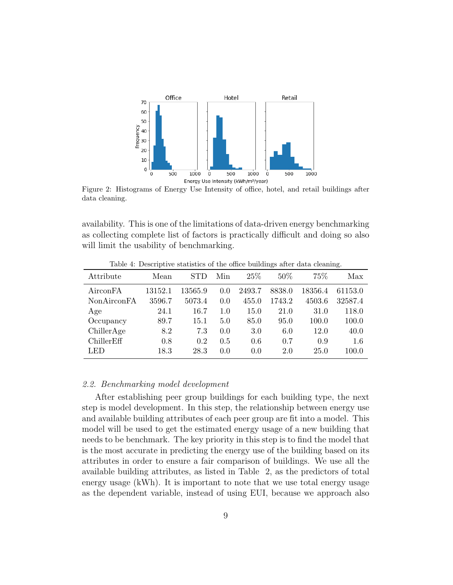

Figure 2: Histograms of Energy Use Intensity of office, hotel, and retail buildings after data cleaning.

availability. This is one of the limitations of data-driven energy benchmarking as collecting complete list of factors is practically difficult and doing so also will limit the usability of benchmarking.

| Attribute   | Mean    |         | Min | 25\%   | $50\%$ | 75%     | Max     |
|-------------|---------|---------|-----|--------|--------|---------|---------|
| AirconFA    | 13152.1 | 13565.9 | 0.0 | 2493.7 | 8838.0 | 18356.4 | 61153.0 |
| NonAirconFA | 3596.7  | 5073.4  | 0.0 | 455.0  | 1743.2 | 4503.6  | 32587.4 |
| Age         | 24.1    | 16.7    | 1.0 | 15.0   | 21.0   | 31.0    | 118.0   |
| Occupancy   | 89.7    | 15.1    | 5.0 | 85.0   | 95.0   | 100.0   | 100.0   |
| ChillerAge  | 8.2     | 7.3     | 0.0 | 3.0    | 6.0    | 12.0    | 40.0    |
| ChillerEff  | 0.8     | 0.2     | 0.5 | 0.6    | 0.7    | 0.9     | 1.6     |
| LED         | 18.3    | 28.3    | 0.0 | 0.0    | 2.0    | 25.0    | 100.0   |

Table 4: Descriptive statistics of the office buildings after data cleaning.

#### 2.2. Benchmarking model development

After establishing peer group buildings for each building type, the next step is model development. In this step, the relationship between energy use and available building attributes of each peer group are fit into a model. This model will be used to get the estimated energy usage of a new building that needs to be benchmark. The key priority in this step is to find the model that is the most accurate in predicting the energy use of the building based on its attributes in order to ensure a fair comparison of buildings. We use all the available building attributes, as listed in Table 2, as the predictors of total energy usage (kWh). It is important to note that we use total energy usage as the dependent variable, instead of using EUI, because we approach also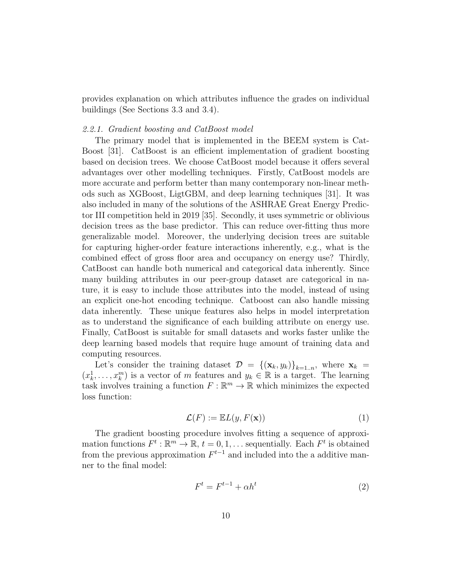provides explanation on which attributes influence the grades on individual buildings (See Sections 3.3 and 3.4).

## 2.2.1. Gradient boosting and CatBoost model

The primary model that is implemented in the BEEM system is Cat-Boost [31]. CatBoost is an efficient implementation of gradient boosting based on decision trees. We choose CatBoost model because it offers several advantages over other modelling techniques. Firstly, CatBoost models are more accurate and perform better than many contemporary non-linear methods such as XGBoost, LigtGBM, and deep learning techniques [31]. It was also included in many of the solutions of the ASHRAE Great Energy Predictor III competition held in 2019 [35]. Secondly, it uses symmetric or oblivious decision trees as the base predictor. This can reduce over-fitting thus more generalizable model. Moreover, the underlying decision trees are suitable for capturing higher-order feature interactions inherently, e.g., what is the combined effect of gross floor area and occupancy on energy use? Thirdly, CatBoost can handle both numerical and categorical data inherently. Since many building attributes in our peer-group dataset are categorical in nature, it is easy to include those attributes into the model, instead of using an explicit one-hot encoding technique. Catboost can also handle missing data inherently. These unique features also helps in model interpretation as to understand the significance of each building attribute on energy use. Finally, CatBoost is suitable for small datasets and works faster unlike the deep learning based models that require huge amount of training data and computing resources.

Let's consider the training dataset  $\mathcal{D} = \{(\mathbf{x}_k, y_k)\}_{k=1..n}$ , where  $\mathbf{x}_k =$  $(x_k^1, \ldots, x_k^m)$  is a vector of m features and  $y_k \in \mathbb{R}$  is a target. The learning task involves training a function  $F : \mathbb{R}^m \to \mathbb{R}$  which minimizes the expected loss function:

$$
\mathcal{L}(F) := \mathbb{E}L(y, F(\mathbf{x}))\tag{1}
$$

The gradient boosting procedure involves fitting a sequence of approximation functions  $F^t : \mathbb{R}^m \to \mathbb{R}, t = 0, 1, \ldots$  sequentially. Each  $F^t$  is obtained from the previous approximation  $F^{t-1}$  and included into the a additive manner to the final model:

$$
F^t = F^{t-1} + \alpha h^t \tag{2}
$$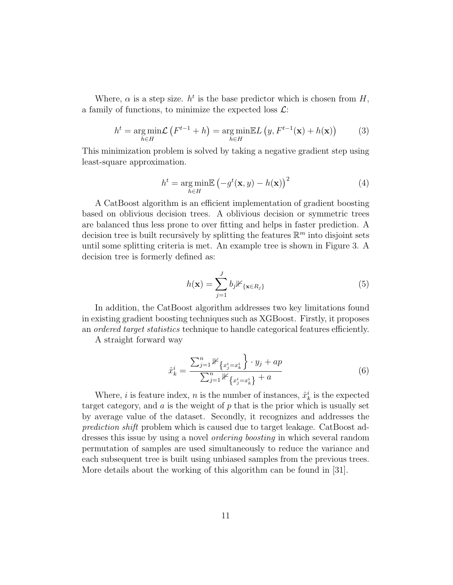Where,  $\alpha$  is a step size.  $h^t$  is the base predictor which is chosen from H, a family of functions, to minimize the expected loss  $\mathcal{L}$ :

$$
h^{t} = \underset{h \in H}{\arg\min} \mathcal{L}\left(F^{t-1} + h\right) = \underset{h \in H}{\arg\min} \mathbb{E}L\left(y, F^{t-1}(\mathbf{x}) + h(\mathbf{x})\right) \tag{3}
$$

This minimization problem is solved by taking a negative gradient step using least-square approximation.

$$
h^{t} = \underset{h \in H}{\arg\min} \mathbb{E}\left(-g^{t}(\mathbf{x}, y) - h(\mathbf{x})\right)^{2}
$$
(4)

A CatBoost algorithm is an efficient implementation of gradient boosting based on oblivious decision trees. A oblivious decision or symmetric trees are balanced thus less prone to over fitting and helps in faster prediction. A decision tree is built recursively by splitting the features  $\mathbb{R}^m$  into disjoint sets until some splitting criteria is met. An example tree is shown in Figure 3. A decision tree is formerly defined as:

$$
h(\mathbf{x}) = \sum_{j=1}^{J} b_j \mathbb{1}_{\{\mathbf{x} \in R_j\}} \tag{5}
$$

In addition, the CatBoost algorithm addresses two key limitations found in existing gradient boosting techniques such as XGBoost. Firstly, it proposes an ordered target statistics technique to handle categorical features efficiently.

A straight forward way

$$
\hat{x}_k^i = \frac{\sum_{j=1}^n \mathbb{1}_{\{x_j^i = x_k^i\}} \cdot y_j + ap}{\sum_{j=1}^n \mathbb{1}_{\{x_j^i = x_k^i\}} + a}
$$
\n(6)

Where, *i* is feature index, *n* is the number of instances,  $\hat{x}_k^i$  is the expected target category, and  $\alpha$  is the weight of  $p$  that is the prior which is usually set by average value of the dataset. Secondly, it recognizes and addresses the prediction shift problem which is caused due to target leakage. CatBoost addresses this issue by using a novel ordering boosting in which several random permutation of samples are used simultaneously to reduce the variance and each subsequent tree is built using unbiased samples from the previous trees. More details about the working of this algorithm can be found in [31].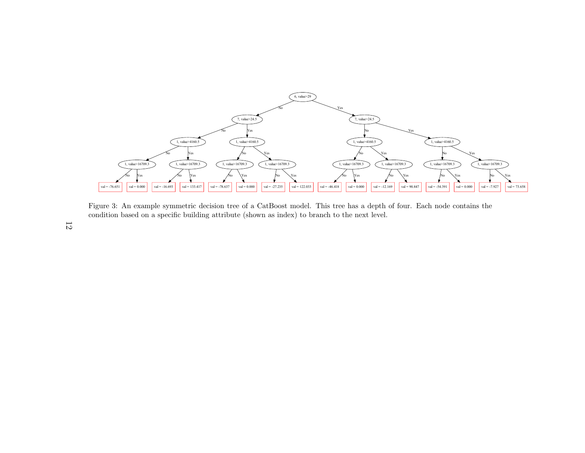

Figure 3: An example symmetric decision tree of <sup>a</sup> CatBoost model. This tree has <sup>a</sup> depth of four. Each node contains thecondition based on <sup>a</sup> specific building attribute (shown as index) to branch to the next level.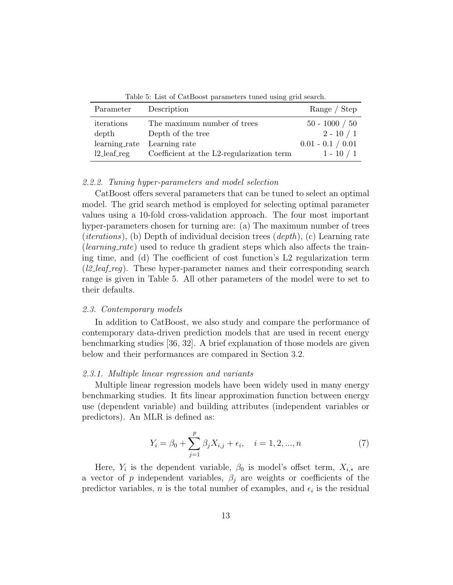| Parameter      | Description                               | Range / Step        |
|----------------|-------------------------------------------|---------------------|
| iterations     | The maximum number of trees               | $50 - 1000 / 50$    |
| depth          | Depth of the tree                         | $2 - 10 / 1$        |
|                | learning_rate Learning rate               | $0.01 - 0.1 / 0.01$ |
| $12$ -leaf-reg | Coefficient at the L2-regularization term | $1 - 10 / 1$        |

Table 5: List of CatBoost parameters tuned using grid search.

#### 2.2.2. Tuning hyper-parameters and model selection

CatBoost offers several parameters that can be tuned to select an optimal model. The grid search method is employed for selecting optimal parameter values using a 10-fold cross-validation approach. The four most important hyper-parameters chosen for turning are: (a) The maximum number of trees (*iterations*), (b) Depth of individual decision trees  $(depth)$ , (c) Learning rate (*learning\_rate*) used to reduce th gradient steps which also affects the training time, and (d) The coefficient of cost function's L2 regularization term ( $l2\text{.}$  leaf reg). These hyper-parameter names and their corresponding search range is given in Table 5. All other parameters of the model were to set to their defaults.

## 2.3. Contemporary models

In addition to CatBoost, we also study and compare the performance of contemporary data-driven prediction models that are used in recent energy benchmarking studies [36, 32]. A brief explanation of those models are given below and their performances are compared in Section 3.2.

#### 2.3.1. Multiple linear regression and variants

Multiple linear regression models have been widely used in many energy benchmarking studies. It fits linear approximation function between energy use (dependent variable) and building attributes (independent variables or predictors). An MLR is defined as:

$$
Y_i = \beta_0 + \sum_{j=1}^p \beta_j X_{i,j} + \epsilon_i, \quad i = 1, 2, ..., n
$$
 (7)

Here,  $Y_i$  is the dependent variable,  $\beta_0$  is model's offset term,  $X_{i,*}$  are a vector of p independent variables,  $\beta_j$  are weights or coefficients of the predictor variables, *n* is the total number of examples, and  $\epsilon_i$  is the residual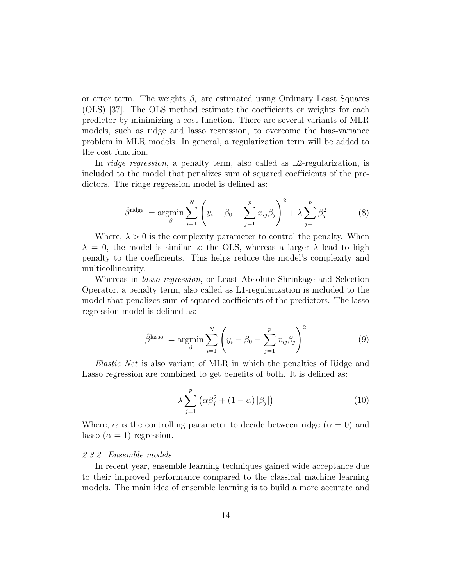or error term. The weights  $\beta_*$  are estimated using Ordinary Least Squares (OLS) [37]. The OLS method estimate the coefficients or weights for each predictor by minimizing a cost function. There are several variants of MLR models, such as ridge and lasso regression, to overcome the bias-variance problem in MLR models. In general, a regularization term will be added to the cost function.

In *ridge regression*, a penalty term, also called as L2-regularization, is included to the model that penalizes sum of squared coefficients of the predictors. The ridge regression model is defined as:

$$
\hat{\beta}^{\text{ridge}} = \underset{\beta}{\text{argmin}} \sum_{i=1}^{N} \left( y_i - \beta_0 - \sum_{j=1}^{p} x_{ij} \beta_j \right)^2 + \lambda \sum_{j=1}^{p} \beta_j^2 \tag{8}
$$

Where,  $\lambda > 0$  is the complexity parameter to control the penalty. When  $\lambda = 0$ , the model is similar to the OLS, whereas a larger  $\lambda$  lead to high penalty to the coefficients. This helps reduce the model's complexity and multicollinearity.

Whereas in lasso regression, or Least Absolute Shrinkage and Selection Operator, a penalty term, also called as L1-regularization is included to the model that penalizes sum of squared coefficients of the predictors. The lasso regression model is defined as:

$$
\hat{\beta}^{\text{lasso}} = \underset{\beta}{\text{argmin}} \sum_{i=1}^{N} \left( y_i - \beta_0 - \sum_{j=1}^{p} x_{ij} \beta_j \right)^2 \tag{9}
$$

Elastic Net is also variant of MLR in which the penalties of Ridge and Lasso regression are combined to get benefits of both. It is defined as:

$$
\lambda \sum_{j=1}^{p} \left( \alpha \beta_j^2 + (1 - \alpha) \left| \beta_j \right| \right) \tag{10}
$$

Where,  $\alpha$  is the controlling parameter to decide between ridge ( $\alpha = 0$ ) and lasso  $(\alpha = 1)$  regression.

#### 2.3.2. Ensemble models

In recent year, ensemble learning techniques gained wide acceptance due to their improved performance compared to the classical machine learning models. The main idea of ensemble learning is to build a more accurate and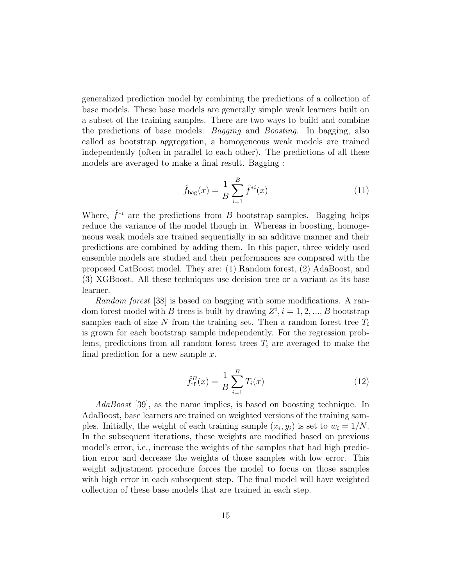generalized prediction model by combining the predictions of a collection of base models. These base models are generally simple weak learners built on a subset of the training samples. There are two ways to build and combine the predictions of base models: Bagging and Boosting. In bagging, also called as bootstrap aggregation, a homogeneous weak models are trained independently (often in parallel to each other). The predictions of all these models are averaged to make a final result. Bagging :

$$
\hat{f}_{\text{bag}}(x) = \frac{1}{B} \sum_{i=1}^{B} \hat{f}^{*i}(x) \tag{11}
$$

Where,  $\hat{f}^{*i}$  are the predictions from B bootstrap samples. Bagging helps reduce the variance of the model though in. Whereas in boosting, homogeneous weak models are trained sequentially in an additive manner and their predictions are combined by adding them. In this paper, three widely used ensemble models are studied and their performances are compared with the proposed CatBoost model. They are: (1) Random forest, (2) AdaBoost, and (3) XGBoost. All these techniques use decision tree or a variant as its base learner.

Random forest [38] is based on bagging with some modifications. A random forest model with B trees is built by drawing  $Z^i$ ,  $i = 1, 2, ..., B$  bootstrap samples each of size N from the training set. Then a random forest tree  $T_i$ is grown for each bootstrap sample independently. For the regression problems, predictions from all random forest trees  $T_i$  are averaged to make the final prediction for a new sample  $x$ .

$$
\hat{f}_{\rm rf}^B(x) = \frac{1}{B} \sum_{i=1}^B T_i(x) \tag{12}
$$

AdaBoost [39], as the name implies, is based on boosting technique. In AdaBoost, base learners are trained on weighted versions of the training samples. Initially, the weight of each training sample  $(x_i, y_i)$  is set to  $w_i = 1/N$ . In the subsequent iterations, these weights are modified based on previous model's error, i.e., increase the weights of the samples that had high prediction error and decrease the weights of those samples with low error. This weight adjustment procedure forces the model to focus on those samples with high error in each subsequent step. The final model will have weighted collection of these base models that are trained in each step.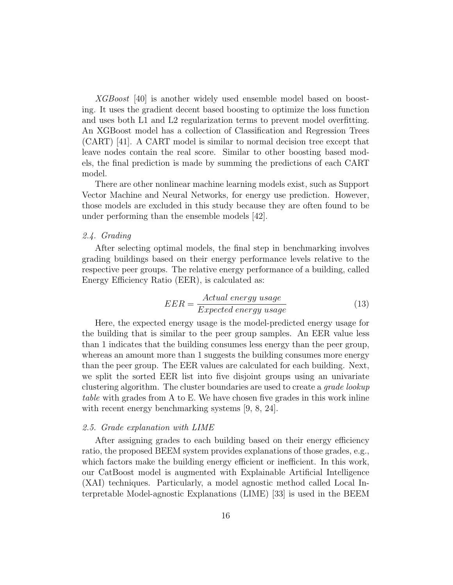XGBoost [40] is another widely used ensemble model based on boosting. It uses the gradient decent based boosting to optimize the loss function and uses both L1 and L2 regularization terms to prevent model overfitting. An XGBoost model has a collection of Classification and Regression Trees (CART) [41]. A CART model is similar to normal decision tree except that leave nodes contain the real score. Similar to other boosting based models, the final prediction is made by summing the predictions of each CART model.

There are other nonlinear machine learning models exist, such as Support Vector Machine and Neural Networks, for energy use prediction. However, those models are excluded in this study because they are often found to be under performing than the ensemble models [42].

## 2.4. Grading

After selecting optimal models, the final step in benchmarking involves grading buildings based on their energy performance levels relative to the respective peer groups. The relative energy performance of a building, called Energy Efficiency Ratio (EER), is calculated as:

$$
EER = \frac{Actual\ energy\ usage}{Expected\ energy\ usage}
$$
 (13)

Here, the expected energy usage is the model-predicted energy usage for the building that is similar to the peer group samples. An EER value less than 1 indicates that the building consumes less energy than the peer group, whereas an amount more than 1 suggests the building consumes more energy than the peer group. The EER values are calculated for each building. Next, we split the sorted EER list into five disjoint groups using an univariate clustering algorithm. The cluster boundaries are used to create a grade lookup table with grades from A to E. We have chosen five grades in this work inline with recent energy benchmarking systems [9, 8, 24].

#### 2.5. Grade explanation with LIME

After assigning grades to each building based on their energy efficiency ratio, the proposed BEEM system provides explanations of those grades, e.g., which factors make the building energy efficient or inefficient. In this work, our CatBoost model is augmented with Explainable Artificial Intelligence (XAI) techniques. Particularly, a model agnostic method called Local Interpretable Model-agnostic Explanations (LIME) [33] is used in the BEEM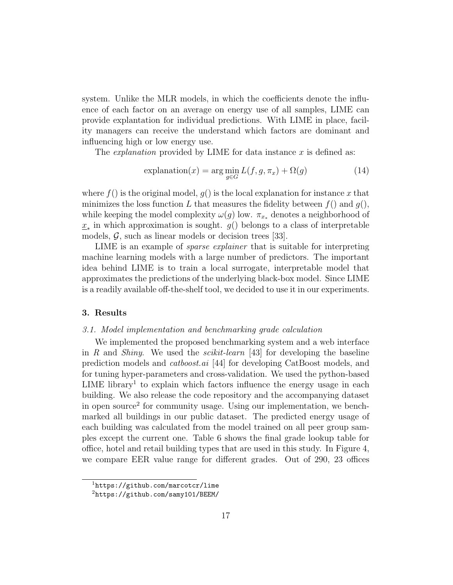system. Unlike the MLR models, in which the coefficients denote the influence of each factor on an average on energy use of all samples, LIME can provide explantation for individual predictions. With LIME in place, facility managers can receive the understand which factors are dominant and influencing high or low energy use.

The *explanation* provided by LIME for data instance  $x$  is defined as:

$$
\text{explanation}(x) = \arg\min_{g \in G} L(f, g, \pi_x) + \Omega(g) \tag{14}
$$

where  $f()$  is the original model,  $g()$  is the local explanation for instance x that minimizes the loss function L that measures the fidelity between  $f()$  and  $g()$ , while keeping the model complexity  $\omega(g)$  low.  $\pi_{x*}$  denotes a neighborhood of  $\underline{x}_*$  in which approximation is sought.  $g()$  belongs to a class of interpretable models,  $\mathcal{G}$ , such as linear models or decision trees [33].

LIME is an example of sparse explainer that is suitable for interpreting machine learning models with a large number of predictors. The important idea behind LIME is to train a local surrogate, interpretable model that approximates the predictions of the underlying black-box model. Since LIME is a readily available off-the-shelf tool, we decided to use it in our experiments.

# 3. Results

#### 3.1. Model implementation and benchmarking grade calculation

We implemented the proposed benchmarking system and a web interface in R and Shiny. We used the *scikit-learn* [43] for developing the baseline prediction models and catboost.ai [44] for developing CatBoost models, and for tuning hyper-parameters and cross-validation. We used the python-based  $LIME$  library<sup>1</sup> to explain which factors influence the energy usage in each building. We also release the code repository and the accompanying dataset in open source<sup>2</sup> for community usage. Using our implementation, we benchmarked all buildings in our public dataset. The predicted energy usage of each building was calculated from the model trained on all peer group samples except the current one. Table 6 shows the final grade lookup table for office, hotel and retail building types that are used in this study. In Figure 4, we compare EER value range for different grades. Out of 290, 23 offices

 $<sup>1</sup>$ https://github.com/marcotcr/lime</sup>

<sup>2</sup>https://github.com/samy101/BEEM/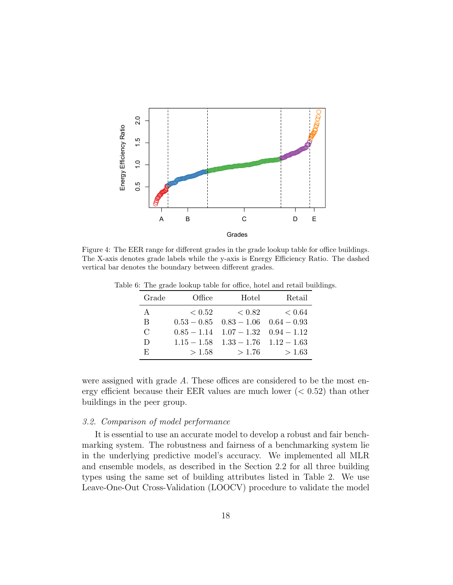

Figure 4: The EER range for different grades in the grade lookup table for office buildings. The X-axis denotes grade labels while the y-axis is Energy Efficiency Ratio. The dashed vertical bar denotes the boundary between different grades.

| Grade         | Office | Hotel                                     | Retail |
|---------------|--------|-------------------------------------------|--------|
| A             | < 0.52 | < 0.82                                    | < 0.64 |
| B             |        | $0.53 - 0.85$ $0.83 - 1.06$ $0.64 - 0.93$ |        |
| $\mathcal{C}$ |        | $0.85 - 1.14$ $1.07 - 1.32$ $0.94 - 1.12$ |        |
| D             |        | $1.15 - 1.58$ $1.33 - 1.76$ $1.12 - 1.63$ |        |
| E,            | >1.58  | >1.76                                     | > 1.63 |

Table 6: The grade lookup table for office, hotel and retail buildings.

were assigned with grade A. These offices are considered to be the most energy efficient because their EER values are much lower  $(< 0.52)$  than other buildings in the peer group.

# 3.2. Comparison of model performance

It is essential to use an accurate model to develop a robust and fair benchmarking system. The robustness and fairness of a benchmarking system lie in the underlying predictive model's accuracy. We implemented all MLR and ensemble models, as described in the Section 2.2 for all three building types using the same set of building attributes listed in Table 2. We use Leave-One-Out Cross-Validation (LOOCV) procedure to validate the model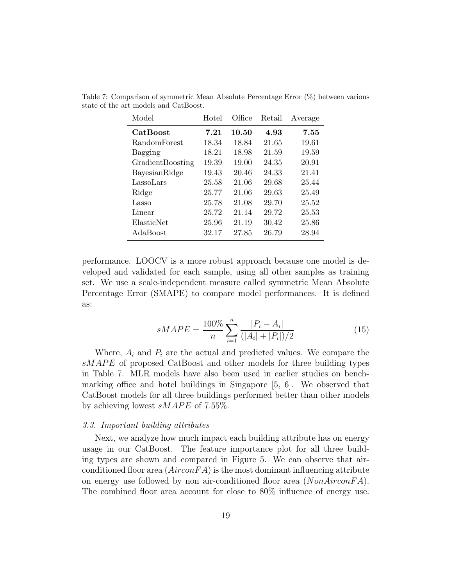| Model               | Hotel      | Office | Retail | Average |
|---------------------|------------|--------|--------|---------|
| <b>CatBoost</b>     | $\bf 7.21$ | 10.50  | 4.93   | 7.55    |
| <b>RandomForest</b> | 18.34      | 18.84  | 21.65  | 19.61   |
| Bagging             | 18.21      | 18.98  | 21.59  | 19.59   |
| GradientBoosting    | 19.39      | 19.00  | 24.35  | 20.91   |
| BayesianRidge       | 19.43      | 20.46  | 24.33  | 21.41   |
| LassoLars           | 25.58      | 21.06  | 29.68  | 25.44   |
| Ridge               | 25.77      | 21.06  | 29.63  | 25.49   |
| Lasso               | 25.78      | 21.08  | 29.70  | 25.52   |
| Linear              | 25.72      | 21.14  | 29.72  | 25.53   |
| ElasticNet          | 25.96      | 21.19  | 30.42  | 25.86   |
| AdaBoost            | 32.17      | 27.85  | 26.79  | 28.94   |

Table 7: Comparison of symmetric Mean Absolute Percentage Error (%) between various state of the art models and CatBoost.

performance. LOOCV is a more robust approach because one model is developed and validated for each sample, using all other samples as training set. We use a scale-independent measure called symmetric Mean Absolute Percentage Error (SMAPE) to compare model performances. It is defined as:

$$
sMAPE = \frac{100\%}{n} \sum_{i=1}^{n} \frac{|P_i - A_i|}{(|A_i| + |P_i|)/2}
$$
(15)

Where,  $A_i$  and  $P_i$  are the actual and predicted values. We compare the sMAPE of proposed CatBoost and other models for three building types in Table 7. MLR models have also been used in earlier studies on benchmarking office and hotel buildings in Singapore [5, 6]. We observed that CatBoost models for all three buildings performed better than other models by achieving lowest  $sMAPE$  of 7.55%.

#### 3.3. Important building attributes

Next, we analyze how much impact each building attribute has on energy usage in our CatBoost. The feature importance plot for all three building types are shown and compared in Figure 5. We can observe that airconditioned floor area  $(AirconFA)$  is the most dominant influencing attribute on energy use followed by non air-conditioned floor area  $(NonAironFA)$ . The combined floor area account for close to 80% influence of energy use.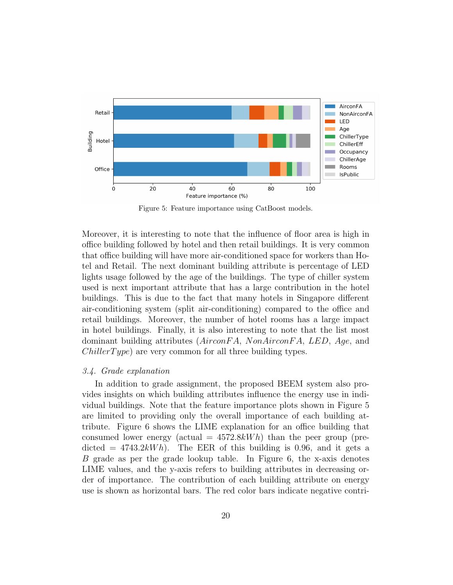

Figure 5: Feature importance using CatBoost models.

Moreover, it is interesting to note that the influence of floor area is high in office building followed by hotel and then retail buildings. It is very common that office building will have more air-conditioned space for workers than Hotel and Retail. The next dominant building attribute is percentage of LED lights usage followed by the age of the buildings. The type of chiller system used is next important attribute that has a large contribution in the hotel buildings. This is due to the fact that many hotels in Singapore different air-conditioning system (split air-conditioning) compared to the office and retail buildings. Moreover, the number of hotel rooms has a large impact in hotel buildings. Finally, it is also interesting to note that the list most dominant building attributes (AirconFA, NonAirconFA, LED, Age, and  $Chiller Type$ ) are very common for all three building types.

#### 3.4. Grade explanation

In addition to grade assignment, the proposed BEEM system also provides insights on which building attributes influence the energy use in individual buildings. Note that the feature importance plots shown in Figure 5 are limited to providing only the overall importance of each building attribute. Figure 6 shows the LIME explanation for an office building that consumed lower energy (actual  $= 4572.8kWh$ ) than the peer group (predicted  $= 4743.2kWh$ . The EER of this building is 0.96, and it gets a B grade as per the grade lookup table. In Figure 6, the x-axis denotes LIME values, and the y-axis refers to building attributes in decreasing order of importance. The contribution of each building attribute on energy use is shown as horizontal bars. The red color bars indicate negative contri-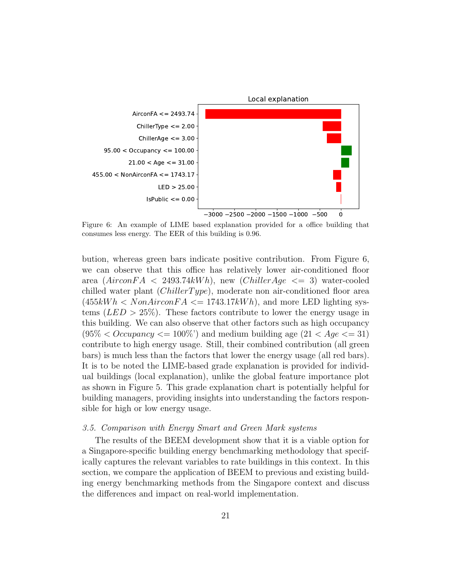

Figure 6: An example of LIME based explanation provided for a office building that consumes less energy. The EER of this building is 0.96.

bution, whereas green bars indicate positive contribution. From Figure 6, we can observe that this office has relatively lower air-conditioned floor area  $(AirconFA < 2493.74kWh)$ , new  $(ChillerAge < = 3)$  water-cooled chilled water plant  $(Chiller Type)$ , moderate non air-conditioned floor area  $(455kWh < NomAironFA \leq 1743.17kWh)$ , and more LED lighting systems  $(LED > 25\%)$ . These factors contribute to lower the energy usage in this building. We can also observe that other factors such as high occupancy  $(95\% \lt Occupancy \lt= 100\%)$  and medium building age  $(21 \lt Age \lt= 31)$ contribute to high energy usage. Still, their combined contribution (all green bars) is much less than the factors that lower the energy usage (all red bars). It is to be noted the LIME-based grade explanation is provided for individual buildings (local explanation), unlike the global feature importance plot as shown in Figure 5. This grade explanation chart is potentially helpful for building managers, providing insights into understanding the factors responsible for high or low energy usage.

## 3.5. Comparison with Energy Smart and Green Mark systems

The results of the BEEM development show that it is a viable option for a Singapore-specific building energy benchmarking methodology that specifically captures the relevant variables to rate buildings in this context. In this section, we compare the application of BEEM to previous and existing building energy benchmarking methods from the Singapore context and discuss the differences and impact on real-world implementation.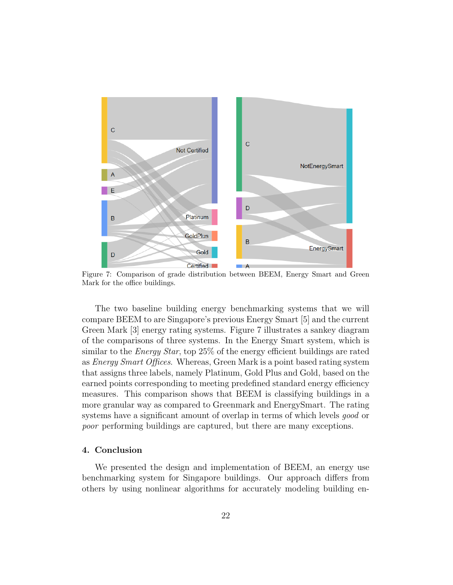

Figure 7: Comparison of grade distribution between BEEM, Energy Smart and Green Mark for the office buildings.

The two baseline building energy benchmarking systems that we will compare BEEM to are Singapore's previous Energy Smart [5] and the current Green Mark [3] energy rating systems. Figure 7 illustrates a sankey diagram of the comparisons of three systems. In the Energy Smart system, which is similar to the *Energy Star*, top 25% of the energy efficient buildings are rated as Energy Smart Offices. Whereas, Green Mark is a point based rating system that assigns three labels, namely Platinum, Gold Plus and Gold, based on the earned points corresponding to meeting predefined standard energy efficiency measures. This comparison shows that BEEM is classifying buildings in a more granular way as compared to Greenmark and EnergySmart. The rating systems have a significant amount of overlap in terms of which levels *good* or poor performing buildings are captured, but there are many exceptions.

# 4. Conclusion

We presented the design and implementation of BEEM, an energy use benchmarking system for Singapore buildings. Our approach differs from others by using nonlinear algorithms for accurately modeling building en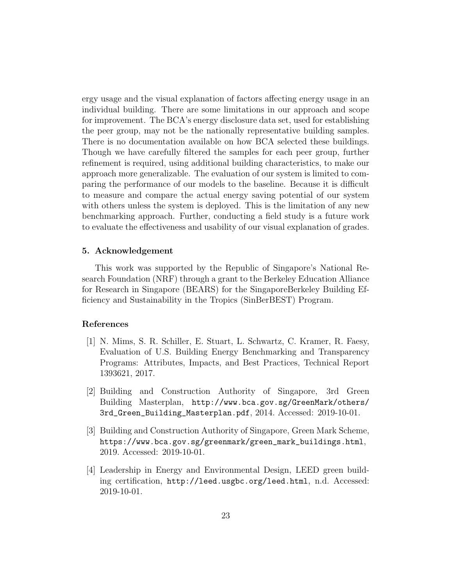ergy usage and the visual explanation of factors affecting energy usage in an individual building. There are some limitations in our approach and scope for improvement. The BCA's energy disclosure data set, used for establishing the peer group, may not be the nationally representative building samples. There is no documentation available on how BCA selected these buildings. Though we have carefully filtered the samples for each peer group, further refinement is required, using additional building characteristics, to make our approach more generalizable. The evaluation of our system is limited to comparing the performance of our models to the baseline. Because it is difficult to measure and compare the actual energy saving potential of our system with others unless the system is deployed. This is the limitation of any new benchmarking approach. Further, conducting a field study is a future work to evaluate the effectiveness and usability of our visual explanation of grades.

# 5. Acknowledgement

This work was supported by the Republic of Singapore's National Research Foundation (NRF) through a grant to the Berkeley Education Alliance for Research in Singapore (BEARS) for the SingaporeBerkeley Building Efficiency and Sustainability in the Tropics (SinBerBEST) Program.

## References

- [1] N. Mims, S. R. Schiller, E. Stuart, L. Schwartz, C. Kramer, R. Faesy, Evaluation of U.S. Building Energy Benchmarking and Transparency Programs: Attributes, Impacts, and Best Practices, Technical Report 1393621, 2017.
- [2] Building and Construction Authority of Singapore, 3rd Green Building Masterplan, http://www.bca.gov.sg/GreenMark/others/ 3rd\_Green\_Building\_Masterplan.pdf, 2014. Accessed: 2019-10-01.
- [3] Building and Construction Authority of Singapore, Green Mark Scheme, https://www.bca.gov.sg/greenmark/green\_mark\_buildings.html, 2019. Accessed: 2019-10-01.
- [4] Leadership in Energy and Environmental Design, LEED green building certification, http://leed.usgbc.org/leed.html, n.d. Accessed: 2019-10-01.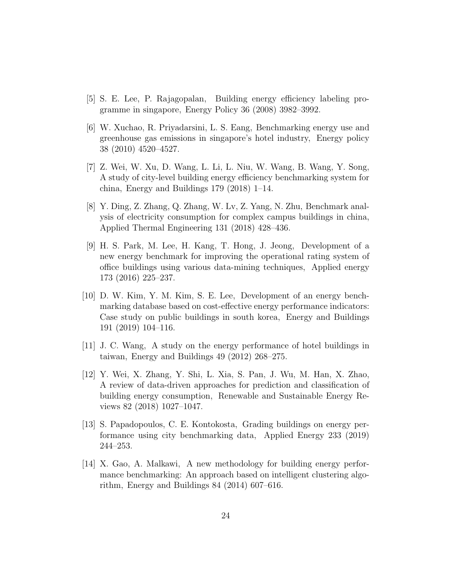- [5] S. E. Lee, P. Rajagopalan, Building energy efficiency labeling programme in singapore, Energy Policy 36 (2008) 3982–3992.
- [6] W. Xuchao, R. Priyadarsini, L. S. Eang, Benchmarking energy use and greenhouse gas emissions in singapore's hotel industry, Energy policy 38 (2010) 4520–4527.
- [7] Z. Wei, W. Xu, D. Wang, L. Li, L. Niu, W. Wang, B. Wang, Y. Song, A study of city-level building energy efficiency benchmarking system for china, Energy and Buildings 179 (2018) 1–14.
- [8] Y. Ding, Z. Zhang, Q. Zhang, W. Lv, Z. Yang, N. Zhu, Benchmark analysis of electricity consumption for complex campus buildings in china, Applied Thermal Engineering 131 (2018) 428–436.
- [9] H. S. Park, M. Lee, H. Kang, T. Hong, J. Jeong, Development of a new energy benchmark for improving the operational rating system of office buildings using various data-mining techniques, Applied energy 173 (2016) 225–237.
- [10] D. W. Kim, Y. M. Kim, S. E. Lee, Development of an energy benchmarking database based on cost-effective energy performance indicators: Case study on public buildings in south korea, Energy and Buildings 191 (2019) 104–116.
- [11] J. C. Wang, A study on the energy performance of hotel buildings in taiwan, Energy and Buildings 49 (2012) 268–275.
- [12] Y. Wei, X. Zhang, Y. Shi, L. Xia, S. Pan, J. Wu, M. Han, X. Zhao, A review of data-driven approaches for prediction and classification of building energy consumption, Renewable and Sustainable Energy Reviews 82 (2018) 1027–1047.
- [13] S. Papadopoulos, C. E. Kontokosta, Grading buildings on energy performance using city benchmarking data, Applied Energy 233 (2019) 244–253.
- [14] X. Gao, A. Malkawi, A new methodology for building energy performance benchmarking: An approach based on intelligent clustering algorithm, Energy and Buildings 84 (2014) 607–616.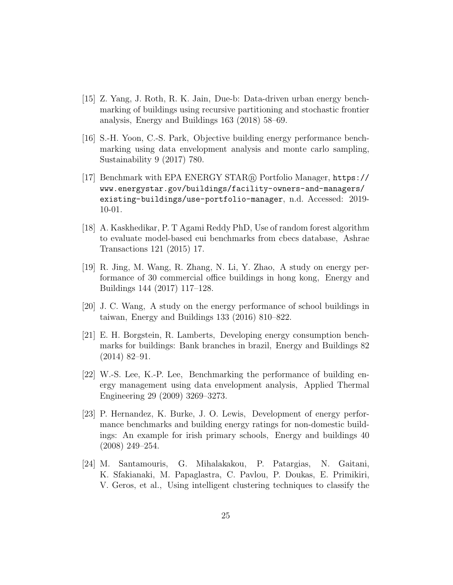- [15] Z. Yang, J. Roth, R. K. Jain, Due-b: Data-driven urban energy benchmarking of buildings using recursive partitioning and stochastic frontier analysis, Energy and Buildings 163 (2018) 58–69.
- [16] S.-H. Yoon, C.-S. Park, Objective building energy performance benchmarking using data envelopment analysis and monte carlo sampling, Sustainability 9 (2017) 780.
- [17] Benchmark with EPA ENERGY STAR <sup>R</sup> Portfolio Manager, https:// www.energystar.gov/buildings/facility-owners-and-managers/ existing-buildings/use-portfolio-manager, n.d. Accessed: 2019- 10-01.
- [18] A. Kaskhedikar, P. T Agami Reddy PhD, Use of random forest algorithm to evaluate model-based eui benchmarks from cbecs database, Ashrae Transactions 121 (2015) 17.
- [19] R. Jing, M. Wang, R. Zhang, N. Li, Y. Zhao, A study on energy performance of 30 commercial office buildings in hong kong, Energy and Buildings 144 (2017) 117–128.
- [20] J. C. Wang, A study on the energy performance of school buildings in taiwan, Energy and Buildings 133 (2016) 810–822.
- [21] E. H. Borgstein, R. Lamberts, Developing energy consumption benchmarks for buildings: Bank branches in brazil, Energy and Buildings 82 (2014) 82–91.
- [22] W.-S. Lee, K.-P. Lee, Benchmarking the performance of building energy management using data envelopment analysis, Applied Thermal Engineering 29 (2009) 3269–3273.
- [23] P. Hernandez, K. Burke, J. O. Lewis, Development of energy performance benchmarks and building energy ratings for non-domestic buildings: An example for irish primary schools, Energy and buildings 40 (2008) 249–254.
- [24] M. Santamouris, G. Mihalakakou, P. Patargias, N. Gaitani, K. Sfakianaki, M. Papaglastra, C. Pavlou, P. Doukas, E. Primikiri, V. Geros, et al., Using intelligent clustering techniques to classify the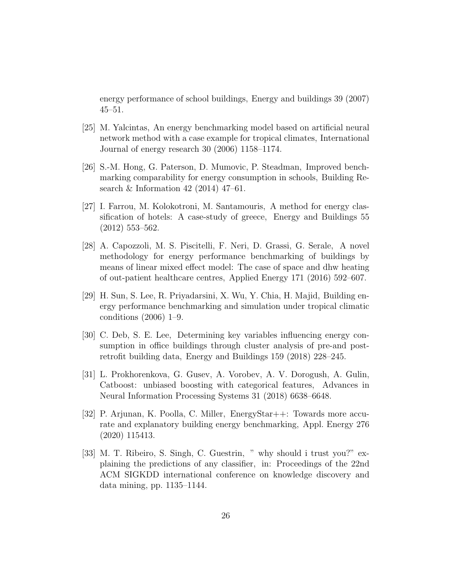energy performance of school buildings, Energy and buildings 39 (2007) 45–51.

- [25] M. Yalcintas, An energy benchmarking model based on artificial neural network method with a case example for tropical climates, International Journal of energy research 30 (2006) 1158–1174.
- [26] S.-M. Hong, G. Paterson, D. Mumovic, P. Steadman, Improved benchmarking comparability for energy consumption in schools, Building Research & Information 42 (2014) 47–61.
- [27] I. Farrou, M. Kolokotroni, M. Santamouris, A method for energy classification of hotels: A case-study of greece, Energy and Buildings 55 (2012) 553–562.
- [28] A. Capozzoli, M. S. Piscitelli, F. Neri, D. Grassi, G. Serale, A novel methodology for energy performance benchmarking of buildings by means of linear mixed effect model: The case of space and dhw heating of out-patient healthcare centres, Applied Energy 171 (2016) 592–607.
- [29] H. Sun, S. Lee, R. Priyadarsini, X. Wu, Y. Chia, H. Majid, Building energy performance benchmarking and simulation under tropical climatic conditions (2006) 1–9.
- [30] C. Deb, S. E. Lee, Determining key variables influencing energy consumption in office buildings through cluster analysis of pre-and postretrofit building data, Energy and Buildings 159 (2018) 228–245.
- [31] L. Prokhorenkova, G. Gusev, A. Vorobev, A. V. Dorogush, A. Gulin, Catboost: unbiased boosting with categorical features, Advances in Neural Information Processing Systems 31 (2018) 6638–6648.
- [32] P. Arjunan, K. Poolla, C. Miller, EnergyStar++: Towards more accurate and explanatory building energy benchmarking, Appl. Energy 276 (2020) 115413.
- [33] M. T. Ribeiro, S. Singh, C. Guestrin, " why should i trust you?" explaining the predictions of any classifier, in: Proceedings of the 22nd ACM SIGKDD international conference on knowledge discovery and data mining, pp. 1135–1144.